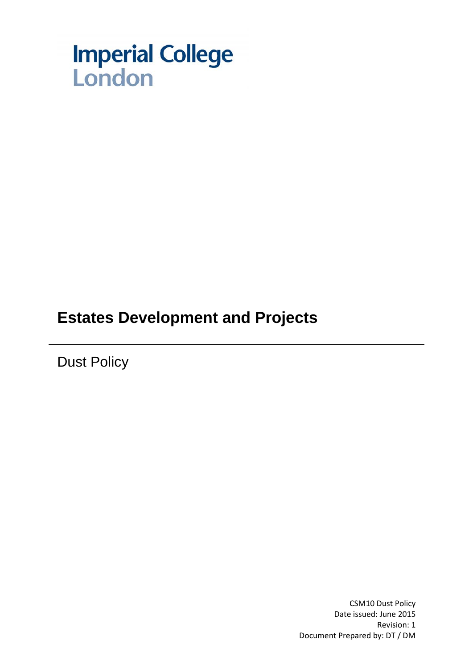

## **Estates Development and Projects**

Dust Policy

CSM10 Dust Policy Date issued: June 2015 Revision: 1 Document Prepared by: DT / DM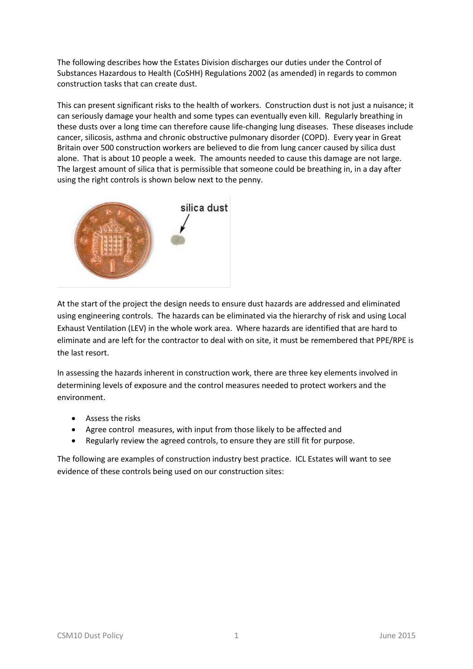The following describes how the Estates Division discharges our duties under the Control of Substances Hazardous to Health (CoSHH) Regulations 2002 (as amended) in regards to common construction tasks that can create dust.

This can present significant risks to the health of workers. Construction dust is not just a nuisance; it can seriously damage your health and some types can eventually even kill. Regularly breathing in these dusts over a long time can therefore cause life-changing lung diseases. These diseases include cancer, silicosis, asthma and chronic obstructive pulmonary disorder (COPD). Every year in Great Britain over 500 construction workers are believed to die from lung cancer caused by silica dust alone. That is about 10 people a week. The amounts needed to cause this damage are not large. The largest amount of silica that is permissible that someone could be breathing in, in a day after using the right controls is shown below next to the penny.



At the start of the project the design needs to ensure dust hazards are addressed and eliminated using engineering controls. The hazards can be eliminated via the hierarchy of risk and using Local Exhaust Ventilation (LEV) in the whole work area. Where hazards are identified that are hard to eliminate and are left for the contractor to deal with on site, it must be remembered that PPE/RPE is the last resort.

In assessing the hazards inherent in construction work, there are three key elements involved in determining levels of exposure and the control measures needed to protect workers and the environment.

- Assess the risks
- Agree control measures, with input from those likely to be affected and
- Regularly review the agreed controls, to ensure they are still fit for purpose.

The following are examples of construction industry best practice. ICL Estates will want to see evidence of these controls being used on our construction sites: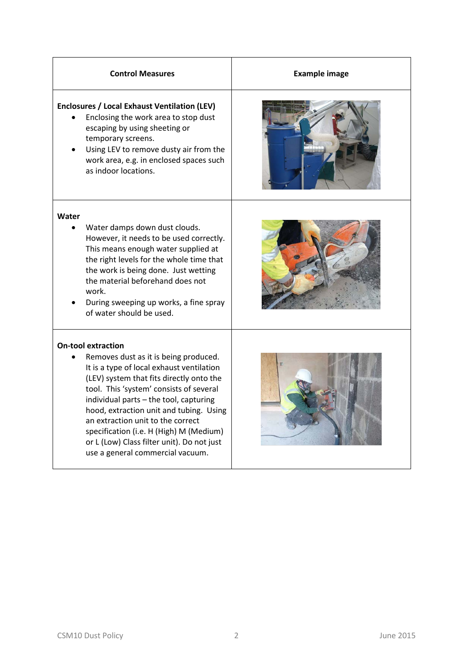| <b>Control Measures</b>                                                                                                                                                                                                                                                                                                                                                                                                                                       | <b>Example image</b> |
|---------------------------------------------------------------------------------------------------------------------------------------------------------------------------------------------------------------------------------------------------------------------------------------------------------------------------------------------------------------------------------------------------------------------------------------------------------------|----------------------|
| <b>Enclosures / Local Exhaust Ventilation (LEV)</b><br>Enclosing the work area to stop dust<br>escaping by using sheeting or<br>temporary screens.<br>Using LEV to remove dusty air from the<br>work area, e.g. in enclosed spaces such<br>as indoor locations.                                                                                                                                                                                               |                      |
| Water<br>Water damps down dust clouds.<br>However, it needs to be used correctly.<br>This means enough water supplied at<br>the right levels for the whole time that<br>the work is being done. Just wetting<br>the material beforehand does not<br>work.<br>During sweeping up works, a fine spray<br>of water should be used.                                                                                                                               |                      |
| <b>On-tool extraction</b><br>Removes dust as it is being produced.<br>It is a type of local exhaust ventilation<br>(LEV) system that fits directly onto the<br>tool. This 'system' consists of several<br>individual parts - the tool, capturing<br>hood, extraction unit and tubing. Using<br>an extraction unit to the correct<br>specification (i.e. H (High) M (Medium)<br>or L (Low) Class filter unit). Do not just<br>use a general commercial vacuum. |                      |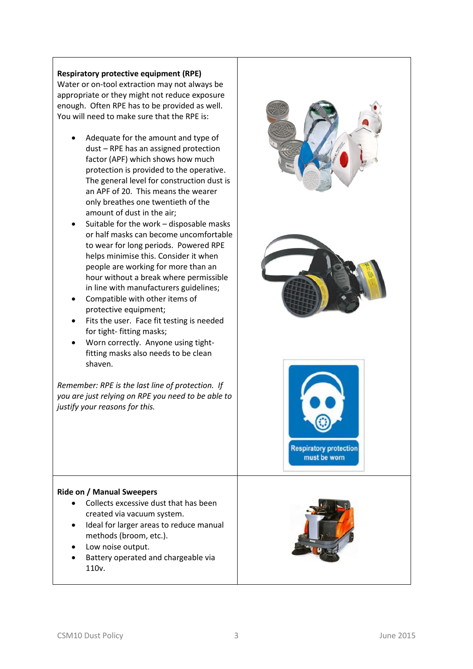## **Respiratory protective equipment (RPE)**

Water or on-tool extraction may not always be appropriate or they might not reduce exposure enough. Often RPE has to be provided as well. You will need to make sure that the RPE is:

- Adequate for the amount and type of dust – RPE has an assigned protection factor (APF) which shows how much protection is provided to the operative. The general level for construction dust is an APF of 20. This means the wearer only breathes one twentieth of the amount of dust in the air;
- Suitable for the work disposable masks or half masks can become uncomfortable to wear for long periods. Powered RPE helps minimise this. Consider it when people are working for more than an hour without a break where permissible in line with manufacturers guidelines;
- Compatible with other items of protective equipment;
- Fits the user. Face fit testing is needed for tight- fitting masks;
- Worn correctly. Anyone using tightfitting masks also needs to be clean shaven.

*Remember: RPE is the last line of protection. If you are just relying on RPE you need to be able to justify your reasons for this.*



## **Ride on / Manual Sweepers**

- Collects excessive dust that has been created via vacuum system.
- Ideal for larger areas to reduce manual methods (broom, etc.).
- Low noise output.
- Battery operated and chargeable via 110v.

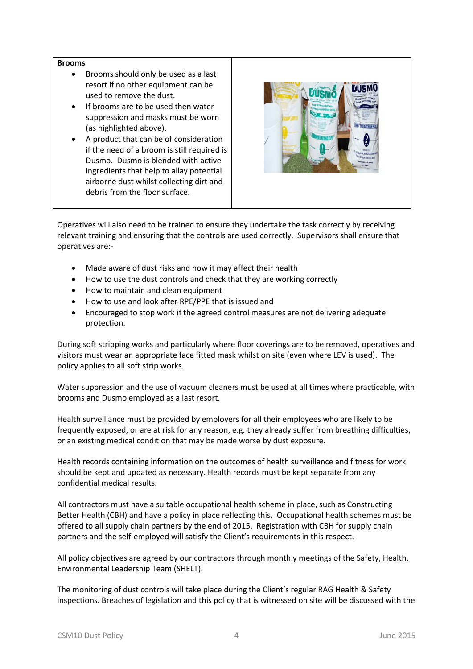## **Brooms**

- Brooms should only be used as a last resort if no other equipment can be used to remove the dust.
- If brooms are to be used then water suppression and masks must be worn (as highlighted above).
- A product that can be of consideration if the need of a broom is still required is Dusmo. Dusmo is blended with active ingredients that help to allay potential airborne dust whilst collecting dirt and debris from the floor surface.



Operatives will also need to be trained to ensure they undertake the task correctly by receiving relevant training and ensuring that the controls are used correctly. Supervisors shall ensure that operatives are:-

- Made aware of dust risks and how it may affect their health
- How to use the dust controls and check that they are working correctly
- How to maintain and clean equipment
- How to use and look after RPE/PPE that is issued and
- Encouraged to stop work if the agreed control measures are not delivering adequate protection.

During soft stripping works and particularly where floor coverings are to be removed, operatives and visitors must wear an appropriate face fitted mask whilst on site (even where LEV is used). The policy applies to all soft strip works.

Water suppression and the use of vacuum cleaners must be used at all times where practicable, with brooms and Dusmo employed as a last resort.

Health surveillance must be provided by employers for all their employees who are likely to be frequently exposed, or are at risk for any reason, e.g. they already suffer from breathing difficulties, or an existing medical condition that may be made worse by dust exposure.

Health records containing information on the outcomes of health surveillance and fitness for work should be kept and updated as necessary. Health records must be kept separate from any confidential medical results.

All contractors must have a suitable occupational health scheme in place, such as Constructing Better Health (CBH) and have a policy in place reflecting this. Occupational health schemes must be offered to all supply chain partners by the end of 2015. Registration with CBH for supply chain partners and the self-employed will satisfy the Client's requirements in this respect.

All policy objectives are agreed by our contractors through monthly meetings of the Safety, Health, Environmental Leadership Team (SHELT).

The monitoring of dust controls will take place during the Client's regular RAG Health & Safety inspections. Breaches of legislation and this policy that is witnessed on site will be discussed with the